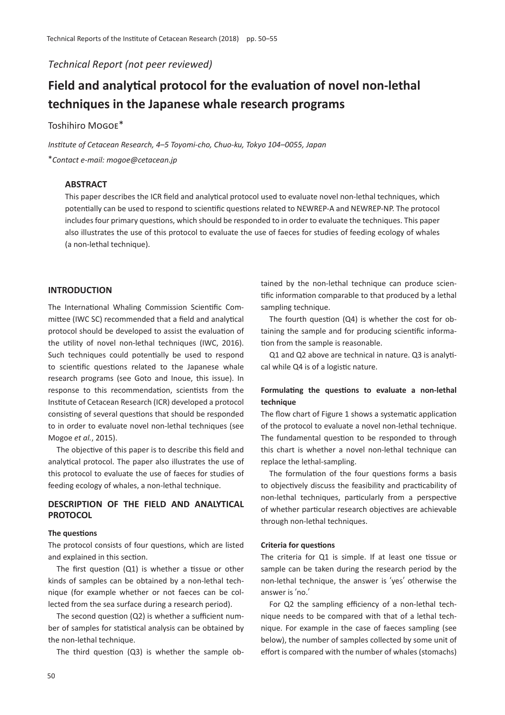*Technical Report (not peer reviewed)*

# **Field and analytical protocol for the evaluation of novel non-lethal techniques in the Japanese whale research programs**

# Toshihiro Mogoe\*

*Institute of Cetacean Research, 4*–*5 Toyomi-cho, Chuo-ku, Tokyo 104*–*0055, Japan* \**Contact e-mail: mogoe@cetacean.jp*

## **ABSTRACT**

This paper describes the ICR field and analytical protocol used to evaluate novel non-lethal techniques, which potentially can be used to respond to scientific questions related to NEWREP-A and NEWREP-NP. The protocol includes four primary questions, which should be responded to in order to evaluate the techniques. This paper also illustrates the use of this protocol to evaluate the use of faeces for studies of feeding ecology of whales (a non-lethal technique).

#### **INTRODUCTION**

The International Whaling Commission Scientific Committee (IWC SC) recommended that a field and analytical protocol should be developed to assist the evaluation of the utility of novel non-lethal techniques (IWC, 2016). Such techniques could potentially be used to respond to scientific questions related to the Japanese whale research programs (see Goto and Inoue, this issue). In response to this recommendation, scientists from the Institute of Cetacean Research (ICR) developed a protocol consisting of several questions that should be responded to in order to evaluate novel non-lethal techniques (see Mogoe *et al.*, 2015).

The objective of this paper is to describe this field and analytical protocol. The paper also illustrates the use of this protocol to evaluate the use of faeces for studies of feeding ecology of whales, a non-lethal technique.

## **DESCRIPTION OF THE FIELD AND ANALYTICAL PROTOCOL**

#### **The questions**

The protocol consists of four questions, which are listed and explained in this section.

The first question (Q1) is whether a tissue or other kinds of samples can be obtained by a non-lethal technique (for example whether or not faeces can be collected from the sea surface during a research period).

The second question (Q2) is whether a sufficient number of samples for statistical analysis can be obtained by the non-lethal technique.

The third question (Q3) is whether the sample ob-

tained by the non-lethal technique can produce scientific information comparable to that produced by a lethal sampling technique.

The fourth question (Q4) is whether the cost for obtaining the sample and for producing scientific information from the sample is reasonable.

Q1 and Q2 above are technical in nature. Q3 is analytical while Q4 is of a logistic nature.

## **Formulating the questions to evaluate a non-lethal technique**

The flow chart of Figure 1 shows a systematic application of the protocol to evaluate a novel non-lethal technique. The fundamental question to be responded to through this chart is whether a novel non-lethal technique can replace the lethal-sampling.

The formulation of the four questions forms a basis to objectively discuss the feasibility and practicability of non-lethal techniques, particularly from a perspective of whether particular research objectives are achievable through non-lethal techniques.

#### **Criteria for questions**

The criteria for Q1 is simple. If at least one tissue or sample can be taken during the research period by the non-lethal technique, the answer is ʻyes' otherwise the answer is ʻno.'

For Q2 the sampling efficiency of a non-lethal technique needs to be compared with that of a lethal technique. For example in the case of faeces sampling (see below), the number of samples collected by some unit of effort is compared with the number of whales (stomachs)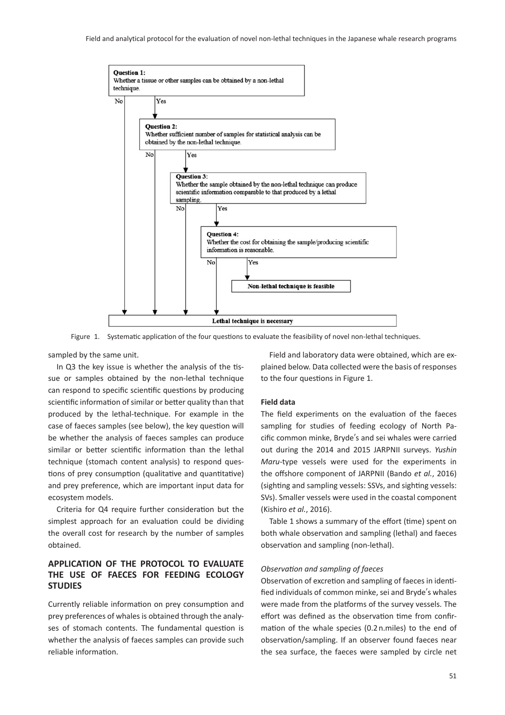Field and analytical protocol for the evaluation of novel non-lethal techniques in the Japanese whale research programs



Figure 1. Systematic application of the four questions to evaluate the feasibility of novel non-lethal techniques.

sampled by the same unit.

In Q3 the key issue is whether the analysis of the tissue or samples obtained by the non-lethal technique can respond to specific scientific questions by producing scientific information of similar or better quality than that produced by the lethal-technique. For example in the case of faeces samples (see below), the key question will be whether the analysis of faeces samples can produce similar or better scientific information than the lethal technique (stomach content analysis) to respond questions of prey consumption (qualitative and quantitative) and prey preference, which are important input data for ecosystem models.

Criteria for Q4 require further consideration but the simplest approach for an evaluation could be dividing the overall cost for research by the number of samples obtained.

# **APPLICATION OF THE PROTOCOL TO EVALUATE THE USE OF FAECES FOR FEEDING ECOLOGY STUDIES**

Currently reliable information on prey consumption and prey preferences of whales is obtained through the analyses of stomach contents. The fundamental question is whether the analysis of faeces samples can provide such reliable information.

Field and laboratory data were obtained, which are explained below. Data collected were the basis of responses to the four questions in Figure 1.

#### **Field data**

The field experiments on the evaluation of the faeces sampling for studies of feeding ecology of North Pacific common minke, Bryde's and sei whales were carried out during the 2014 and 2015 JARPNII surveys. *Yushin Maru*-type vessels were used for the experiments in the offshore component of JARPNII (Bando *et al.*, 2016) (sighting and sampling vessels: SSVs, and sighting vessels: SVs). Smaller vessels were used in the coastal component (Kishiro *et al.*, 2016).

Table 1 shows a summary of the effort (time) spent on both whale observation and sampling (lethal) and faeces observation and sampling (non-lethal).

#### *Observation and sampling of faeces*

Observation of excretion and sampling of faeces in identified individuals of common minke, sei and Bryde's whales were made from the platforms of the survey vessels. The effort was defined as the observation time from confirmation of the whale species (0.2 n.miles) to the end of observation/sampling. If an observer found faeces near the sea surface, the faeces were sampled by circle net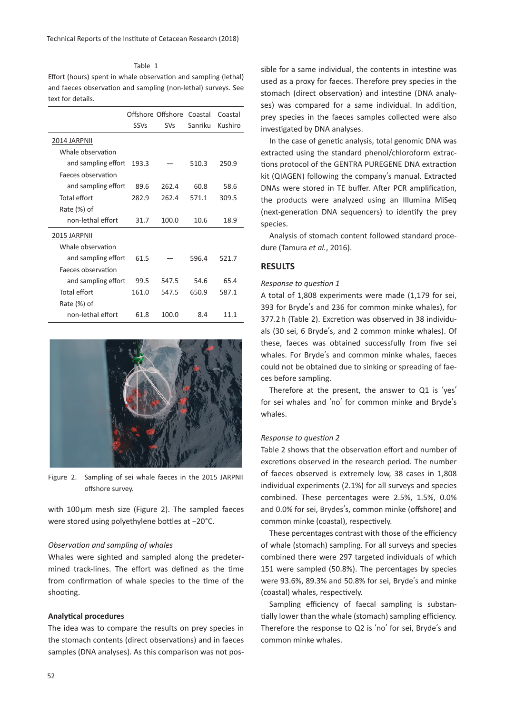Effort (hours) spent in whale observation and sampling (lethal) and faeces observation and sampling (non-lethal) surveys. See text for details.

Table 1

|                     | <b>SSVs</b> | Offshore Offshore Coastal<br><b>SVs</b> | Sanriku | Coastal<br>Kushiro |
|---------------------|-------------|-----------------------------------------|---------|--------------------|
| 2014 JARPNII        |             |                                         |         |                    |
| Whale observation   |             |                                         |         |                    |
| and sampling effort | 193.3       |                                         | 510.3   | 250.9              |
| Faeces observation  |             |                                         |         |                    |
| and sampling effort | 89.6        | 262.4                                   | 60.8    | 58.6               |
| Total effort        | 282.9       | 262.4                                   | 571.1   | 309.5              |
| Rate (%) of         |             |                                         |         |                    |
| non-lethal effort   | 31.7        | 100.0                                   | 10.6    | 18.9               |
| 2015 JARPNII        |             |                                         |         |                    |
| Whale observation   |             |                                         |         |                    |
| and sampling effort | 61.5        |                                         | 596.4   | 521.7              |
| Faeces observation  |             |                                         |         |                    |
| and sampling effort | 99.5        | 547.5                                   | 54.6    | 65.4               |
| <b>Total effort</b> | 161.0       | 547.5                                   | 650.9   | 587.1              |
| Rate (%) of         |             |                                         |         |                    |
| non-lethal effort   | 61.8        | 100.0                                   | 8.4     | 11.1               |



Figure 2. Sampling of sei whale faeces in the 2015 JARPNII offshore survey.

with  $100 \mu m$  mesh size (Figure 2). The sampled faeces were stored using polyethylene bottles at −20°C.

#### *Observation and sampling of whales*

Whales were sighted and sampled along the predetermined track-lines. The effort was defined as the time from confirmation of whale species to the time of the shooting.

### **Analytical procedures**

The idea was to compare the results on prey species in the stomach contents (direct observations) and in faeces samples (DNA analyses). As this comparison was not pos-

sible for a same individual, the contents in intestine was used as a proxy for faeces. Therefore prey species in the stomach (direct observation) and intestine (DNA analyses) was compared for a same individual. In addition, prey species in the faeces samples collected were also investigated by DNA analyses.

In the case of genetic analysis, total genomic DNA was extracted using the standard phenol/chloroform extractions protocol of the GENTRA PUREGENE DNA extraction kit (QIAGEN) following the company's manual. Extracted DNAs were stored in TE buffer. After PCR amplification, the products were analyzed using an Illumina MiSeq (next-generation DNA sequencers) to identify the prey species.

Analysis of stomach content followed standard procedure (Tamura *et al.*, 2016).

### **RESULTS**

#### *Response to question 1*

A total of 1,808 experiments were made (1,179 for sei, 393 for Bryde's and 236 for common minke whales), for 377.2 h (Table 2). Excretion was observed in 38 individuals (30 sei, 6 Bryde's, and 2 common minke whales). Of these, faeces was obtained successfully from five sei whales. For Bryde's and common minke whales, faeces could not be obtained due to sinking or spreading of faeces before sampling.

Therefore at the present, the answer to Q1 is ʻyes' for sei whales and ʻno' for common minke and Bryde's whales.

#### *Response to question 2*

Table 2 shows that the observation effort and number of excretions observed in the research period. The number of faeces observed is extremely low, 38 cases in 1,808 individual experiments (2.1%) for all surveys and species combined. These percentages were 2.5%, 1.5%, 0.0% and 0.0% for sei, Brydes's, common minke (offshore) and common minke (coastal), respectively.

These percentages contrast with those of the efficiency of whale (stomach) sampling. For all surveys and species combined there were 297 targeted individuals of which 151 were sampled (50.8%). The percentages by species were 93.6%, 89.3% and 50.8% for sei, Bryde's and minke (coastal) whales, respectively.

Sampling efficiency of faecal sampling is substantially lower than the whale (stomach) sampling efficiency. Therefore the response to Q2 is ʻno' for sei, Bryde's and common minke whales.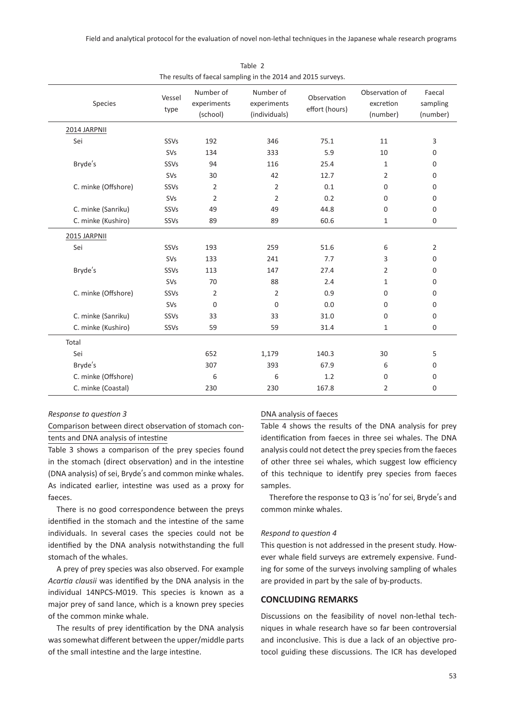| The results of faecal sampling in the 2014 and 2015 surveys. |                |                                      |                                           |                               |                                         |                                |
|--------------------------------------------------------------|----------------|--------------------------------------|-------------------------------------------|-------------------------------|-----------------------------------------|--------------------------------|
| Species                                                      | Vessel<br>type | Number of<br>experiments<br>(school) | Number of<br>experiments<br>(individuals) | Observation<br>effort (hours) | Observation of<br>excretion<br>(number) | Faecal<br>sampling<br>(number) |
| 2014 JARPNII                                                 |                |                                      |                                           |                               |                                         |                                |
| Sei                                                          | SSVs           | 192                                  | 346                                       | 75.1                          | 11                                      | 3                              |
|                                                              | SVs            | 134                                  | 333                                       | 5.9                           | 10                                      | 0                              |
| Bryde's                                                      | SSVs           | 94                                   | 116                                       | 25.4                          | 1                                       | 0                              |
|                                                              | SVs            | 30                                   | 42                                        | 12.7                          | 2                                       | 0                              |
| C. minke (Offshore)                                          | SSVs           | 2                                    | $\overline{2}$                            | 0.1                           | $\mathbf 0$                             | 0                              |
|                                                              | SVs            | $\overline{2}$                       | $\overline{2}$                            | 0.2                           | $\mathbf 0$                             | 0                              |
| C. minke (Sanriku)                                           | SSVs           | 49                                   | 49                                        | 44.8                          | $\mathbf 0$                             | 0                              |
| C. minke (Kushiro)                                           | SSVs           | 89                                   | 89                                        | 60.6                          | $\mathbf{1}$                            | 0                              |
| 2015 JARPNII                                                 |                |                                      |                                           |                               |                                         |                                |
| Sei                                                          | SSVs           | 193                                  | 259                                       | 51.6                          | 6                                       | $\overline{2}$                 |
|                                                              | SVs            | 133                                  | 241                                       | 7.7                           | 3                                       | 0                              |
| Bryde's                                                      | SSVs           | 113                                  | 147                                       | 27.4                          | $\overline{2}$                          | 0                              |
|                                                              | SVs            | 70                                   | 88                                        | 2.4                           | $\mathbf{1}$                            | 0                              |
| C. minke (Offshore)                                          | SSVs           | 2                                    | $\overline{2}$                            | 0.9                           | $\mathbf 0$                             | 0                              |
|                                                              | SVs            | $\mathbf 0$                          | 0                                         | 0.0                           | $\mathbf 0$                             | 0                              |
| C. minke (Sanriku)                                           | SSVs           | 33                                   | 33                                        | 31.0                          | $\mathbf 0$                             | 0                              |
| C. minke (Kushiro)                                           | SSVs           | 59                                   | 59                                        | 31.4                          | $\mathbf{1}$                            | 0                              |
| Total                                                        |                |                                      |                                           |                               |                                         |                                |
| Sei                                                          |                | 652                                  | 1,179                                     | 140.3                         | 30                                      | 5                              |
| Bryde's                                                      |                | 307                                  | 393                                       | 67.9                          | 6                                       | 0                              |
| C. minke (Offshore)                                          |                | 6                                    | 6                                         | 1.2                           | $\boldsymbol{0}$                        | 0                              |
| C. minke (Coastal)                                           |                | 230                                  | 230                                       | 167.8                         | 2                                       | 0                              |

Table 2

*Response to question 3*

Comparison between direct observation of stomach contents and DNA analysis of intestine

Table 3 shows a comparison of the prey species found in the stomach (direct observation) and in the intestine (DNA analysis) of sei, Bryde's and common minke whales. As indicated earlier, intestine was used as a proxy for faeces.

There is no good correspondence between the preys identified in the stomach and the intestine of the same individuals. In several cases the species could not be identified by the DNA analysis notwithstanding the full stomach of the whales.

A prey of prey species was also observed. For example *Acartia clausii* was identified by the DNA analysis in the individual 14NPCS-M019. This species is known as a major prey of sand lance, which is a known prey species of the common minke whale.

The results of prey identification by the DNA analysis was somewhat different between the upper/middle parts of the small intestine and the large intestine.

#### DNA analysis of faeces

Table 4 shows the results of the DNA analysis for prey identification from faeces in three sei whales. The DNA analysis could not detect the prey species from the faeces of other three sei whales, which suggest low efficiency of this technique to identify prey species from faeces samples.

Therefore the response to Q3 is ʻno' for sei, Bryde's and common minke whales.

#### *Respond to question 4*

This question is not addressed in the present study. However whale field surveys are extremely expensive. Funding for some of the surveys involving sampling of whales are provided in part by the sale of by-products.

## **CONCLUDING REMARKS**

Discussions on the feasibility of novel non-lethal techniques in whale research have so far been controversial and inconclusive. This is due a lack of an objective protocol guiding these discussions. The ICR has developed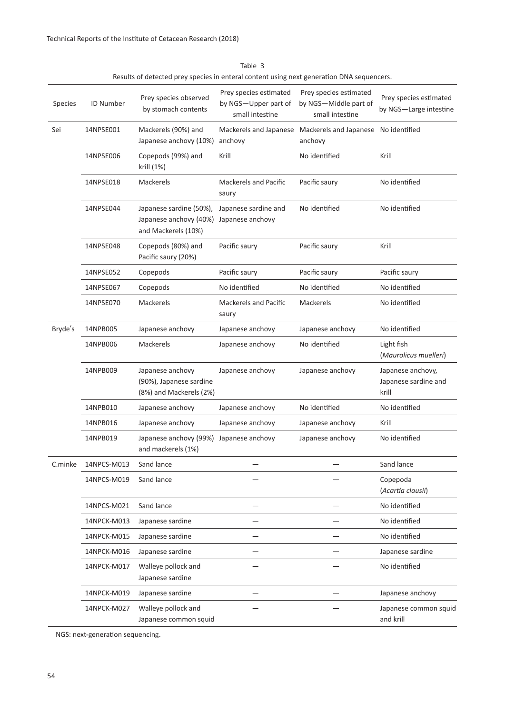| Species | <b>ID Number</b> | Prey species observed<br>by stomach contents                             | Prey species estimated<br>by NGS-Upper part of<br>small intestine | Prey species estimated<br>by NGS-Middle part of<br>small intestine     | Prey species estimated<br>by NGS-Large intestine   |
|---------|------------------|--------------------------------------------------------------------------|-------------------------------------------------------------------|------------------------------------------------------------------------|----------------------------------------------------|
| Sei     | 14NPSE001        | Mackerels (90%) and<br>Japanese anchovy (10%)                            | anchovy                                                           | Mackerels and Japanese Mackerels and Japanese No identified<br>anchovy |                                                    |
|         | 14NPSE006        | Copepods (99%) and<br>krill (1%)                                         | Krill                                                             | No identified                                                          | Krill                                              |
|         | 14NPSE018        | Mackerels                                                                | <b>Mackerels and Pacific</b><br>saury                             | Pacific saury                                                          | No identified                                      |
|         | 14NPSE044        | Japanese sardine (50%),<br>Japanese anchovy (40%)<br>and Mackerels (10%) | Japanese sardine and<br>Japanese anchovy                          | No identified                                                          | No identified                                      |
|         | 14NPSE048        | Copepods (80%) and<br>Pacific saury (20%)                                | Pacific saury                                                     | Pacific saury                                                          | Krill                                              |
|         | 14NPSE052        | Copepods                                                                 | Pacific saury                                                     | Pacific saury                                                          | Pacific saury                                      |
|         | 14NPSE067        | Copepods                                                                 | No identified                                                     | No identified                                                          | No identified                                      |
|         | 14NPSE070        | Mackerels                                                                | <b>Mackerels and Pacific</b><br>saury                             | Mackerels                                                              | No identified                                      |
| Bryde's | 14NPB005         | Japanese anchovy                                                         | Japanese anchovy                                                  | Japanese anchovy                                                       | No identified                                      |
|         | 14NPB006         | Mackerels                                                                | Japanese anchovy                                                  | No identified                                                          | Light fish<br>(Maurolicus muelleri)                |
|         | 14NPB009         | Japanese anchovy<br>(90%), Japanese sardine<br>(8%) and Mackerels (2%)   | Japanese anchovy                                                  | Japanese anchovy                                                       | Japanese anchovy,<br>Japanese sardine and<br>krill |
|         | 14NPB010         | Japanese anchovy                                                         | Japanese anchovy                                                  | No identified                                                          | No identified                                      |
|         | 14NPB016         | Japanese anchovy                                                         | Japanese anchovy                                                  | Japanese anchovy                                                       | Krill                                              |
|         | 14NPB019         | Japanese anchovy (99%)<br>and mackerels (1%)                             | Japanese anchovy                                                  | Japanese anchovy                                                       | No identified                                      |
| C.minke | 14NPCS-M013      | Sand lance                                                               |                                                                   |                                                                        | Sand lance                                         |
|         | 14NPCS-M019      | Sand lance                                                               |                                                                   |                                                                        | Copepoda<br>(Acartia clausii)                      |
|         | 14NPCS-M021      | Sand lance                                                               |                                                                   |                                                                        | No identified                                      |
|         | 14NPCK-M013      | Japanese sardine                                                         |                                                                   |                                                                        | No identified                                      |
|         | 14NPCK-M015      | Japanese sardine                                                         |                                                                   |                                                                        | No identified                                      |
|         | 14NPCK-M016      | Japanese sardine                                                         |                                                                   |                                                                        | Japanese sardine                                   |
|         | 14NPCK-M017      | Walleye pollock and<br>Japanese sardine                                  |                                                                   |                                                                        | No identified                                      |
|         | 14NPCK-M019      | Japanese sardine                                                         |                                                                   |                                                                        | Japanese anchovy                                   |
|         | 14NPCK-M027      | Walleye pollock and<br>Japanese common squid                             |                                                                   |                                                                        | Japanese common squid<br>and krill                 |
|         |                  |                                                                          |                                                                   |                                                                        |                                                    |

Table 3 Results of detected prey species in enteral content using next generation DNA sequencers.

NGS: next-generation sequencing.